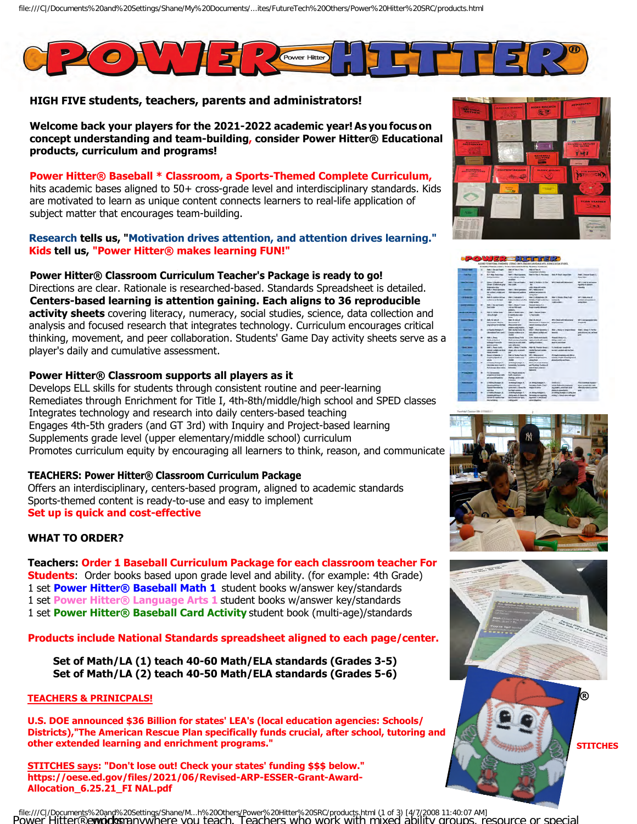

# **HIGH FIVE students, teachers, parents and administrators!**

**Welcome back your players for the 2021-2022 academic year! As you focus on concept understanding and team-building, consider Power Hitter® Educational products, curriculum and programs!**

**Power Hitter® Baseball \* Classroom, a Sports-Themed Complete Curriculum,** hits academic bases aligned to 50+ cross-grade level and interdisciplinary standards. Kids are motivated to learn as unique content connects learners to real-life application of subject matter that encourages team-building.

# **Research tells us, "Motivation drives attention, and attention drives learning." Kids tell us, "Power Hitter® makes learning FUN!"**

**Power Hitter® Classroom Curriculum Teacher's Package is ready to go!**  Directions are clear. Rationale is researched-based. Standards Spreadsheet is detailed. **Centers-based learning is attention gaining. Each aligns to 36 reproducible activity sheets** covering literacy, numeracy, social studies, science, data collection and analysis and focused research that integrates technology. Curriculum encourages critical thinking, movement, and peer collaboration. Students' Game Day activity sheets serve as a player's daily and cumulative assessment.

# **Power Hitter® Classroom supports all players as it**

Develops ELL skills for students through consistent routine and peer-learning Remediates through Enrichment for Title I, 4th-8th/middle/high school and SPED [classes](https://oese.ed.gov/offices/american-rescue-plan/american-rescue-plan-elementary-and-secondary-school-emergency-relief/) Integrates technology and research into daily centers-based teaching Engages 4th-5th graders (and GT 3rd) with Inquiry and Project-based learning Supplements grade level (upper elementary/middle school) curriculum Promotes curriculum equity by encouraging all learners to think, reason, and communicate

# **TEACHERS: Power Hitter® Classroom Curriculum Package**

Offers an interdisciplinary, centers-based program, aligned to academic standards Sports-themed content is ready-to-use and easy to implement **Set up is quick and cost-effective**

# **WHAT TO ORDER?**

**Teachers: Order 1 Baseball Curriculum Package for each classroom teacher For Students**: Order books based upon grade level and ability. (for example: 4th Grade) 1 set **Power Hitter® Baseball Math 1** student books w/answer key/standards 1 set **Power Hitter® Language Arts 1** student books w/answer key/standards 1 set **Power Hitter® Baseball Card Activity** student book (multi-age)/standards

**Products include National Standards spreadsheet aligned to each page/center.** 

**Set of Math/LA (1) teach 40-60 Math/ELA standards (Grades 3-5) Set of Math/LA (2) teach 40-50 Math/ELA standards (Grades 5-6)** 

# **TEACHERS & PRINICPALS!**

**U.S. DOE announced \$36 Billion for states' LEA's (local education agencies: Schools/ Districts),"The American Rescue Plan specifically funds crucial, after school, tutoring and other extended learning and enrichment programs."** 

**STITCHES says: "Don't lose out! Check your states' funding \$\$\$ below." https://oese.ed.gov/files/2021/06/Revised-ARP-ESSER-Grant-Award-Allocation\_6.25.21\_FI NAL.pdf**